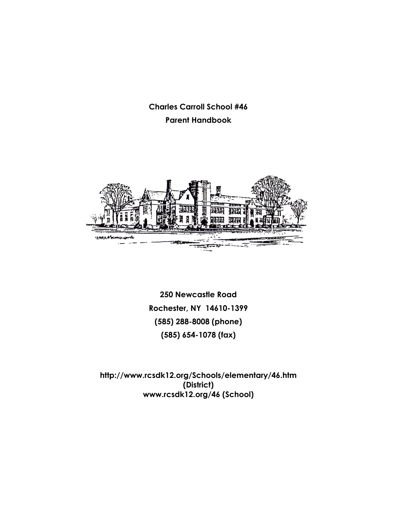**Charles Carroll School #46 Parent Handbook**



**250 Newcastle Road Rochester, NY 14610-1399 (585) 288-8008 (phone) (585) 654-1078 (fax)**

**http://www.rcsdk12.org/Schools/elementary/46.htm (District) www.rcsdk12.org/46 (School)**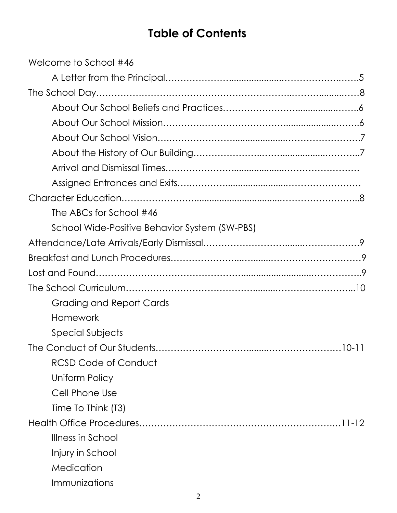# **Table of Contents**

| Welcome to School #46                         |
|-----------------------------------------------|
|                                               |
|                                               |
|                                               |
|                                               |
|                                               |
|                                               |
|                                               |
|                                               |
|                                               |
| The ABCs for School #46                       |
| School Wide-Positive Behavior System (SW-PBS) |
|                                               |
|                                               |
|                                               |
|                                               |
| Grading and Report Cards                      |
| Homework                                      |
| Special Subjects                              |
| The Conduct of Our Students<br>$10 - 11$      |
| <b>RCSD Code of Conduct</b>                   |
| Uniform Policy                                |
| Cell Phone Use                                |
| Time To Think (T3)                            |
|                                               |
| Illness in School                             |
| Injury in School                              |
| Medication                                    |
| Immunizations                                 |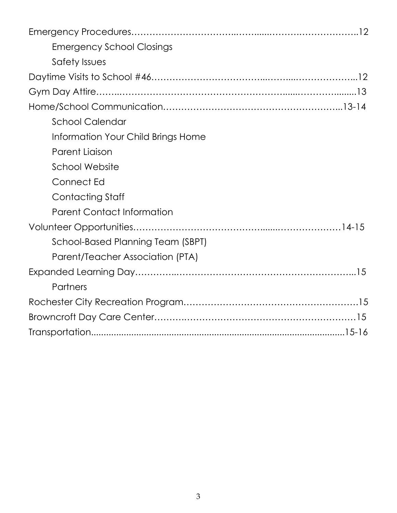| <b>Emergency School Closings</b>   |  |
|------------------------------------|--|
| Safety Issues                      |  |
|                                    |  |
|                                    |  |
|                                    |  |
| <b>School Calendar</b>             |  |
| Information Your Child Brings Home |  |
| <b>Parent Liaison</b>              |  |
| <b>School Website</b>              |  |
| Connect Ed                         |  |
| <b>Contacting Staff</b>            |  |
| <b>Parent Contact Information</b>  |  |
|                                    |  |
| School-Based Planning Team (SBPT)  |  |
| Parent/Teacher Association (PTA)   |  |
|                                    |  |
| <b>Partners</b>                    |  |
|                                    |  |
|                                    |  |
|                                    |  |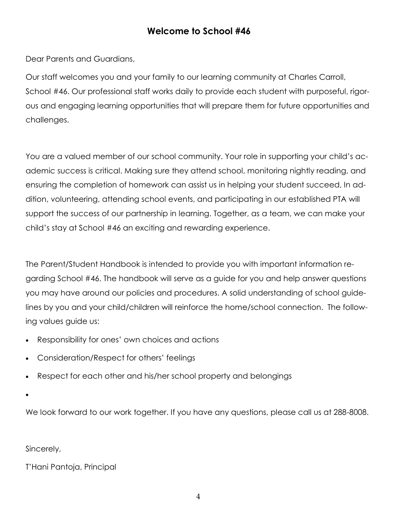### **Welcome to School #46**

Dear Parents and Guardians,

Our staff welcomes you and your family to our learning community at Charles Carroll, School #46. Our professional staff works daily to provide each student with purposeful, rigorous and engaging learning opportunities that will prepare them for future opportunities and challenges.

You are a valued member of our school community. Your role in supporting your child's academic success is critical. Making sure they attend school, monitoring nightly reading, and ensuring the completion of homework can assist us in helping your student succeed, In addition, volunteering, attending school events, and participating in our established PTA will support the success of our partnership in learning. Together, as a team, we can make your child's stay at School #46 an exciting and rewarding experience.

The Parent/Student Handbook is intended to provide you with important information regarding School #46. The handbook will serve as a guide for you and help answer questions you may have around our policies and procedures. A solid understanding of school guidelines by you and your child/children will reinforce the home/school connection. The following values guide us:

- Responsibility for ones' own choices and actions
- Consideration/Respect for others' feelings
- Respect for each other and his/her school property and belongings
- $\bullet$

We look forward to our work together. If you have any questions, please call us at 288-8008.

Sincerely,

T'Hani Pantoja, Principal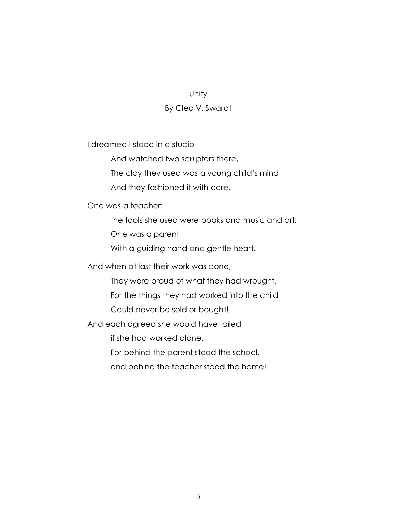#### Unity

#### By Cleo V. Swarat

I dreamed I stood in a studio

And watched two sculptors there,

The clay they used was a young child's mind

And they fashioned it with care.

One was a teacher:

the tools she used were books and music and art;

One was a parent

With a guiding hand and gentle heart.

And when at last their work was done,

They were proud of what they had wrought.

For the things they had worked into the child

Could never be sold or bought!

And each agreed she would have failed

if she had worked alone.

For behind the parent stood the school,

and behind the teacher stood the home!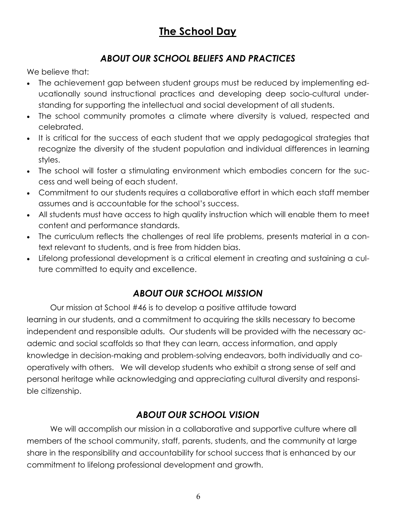## **The School Day**

### *ABOUT OUR SCHOOL BELIEFS AND PRACTICES*

We believe that:

- The achievement gap between student groups must be reduced by implementing educationally sound instructional practices and developing deep socio-cultural understanding for supporting the intellectual and social development of all students.
- The school community promotes a climate where diversity is valued, respected and celebrated.
- It is critical for the success of each student that we apply pedagogical strategies that recognize the diversity of the student population and individual differences in learning styles.
- The school will foster a stimulating environment which embodies concern for the success and well being of each student.
- Commitment to our students requires a collaborative effort in which each staff member assumes and is accountable for the school's success.
- All students must have access to high quality instruction which will enable them to meet content and performance standards.
- The curriculum reflects the challenges of real life problems, presents material in a context relevant to students, and is free from hidden bias.
- Lifelong professional development is a critical element in creating and sustaining a culture committed to equity and excellence.

### *ABOUT OUR SCHOOL MISSION*

Our mission at School #46 is to develop a positive attitude toward learning in our students, and a commitment to acquiring the skills necessary to become independent and responsible adults. Our students will be provided with the necessary academic and social scaffolds so that they can learn, access information, and apply knowledge in decision-making and problem-solving endeavors, both individually and cooperatively with others. We will develop students who exhibit a strong sense of self and personal heritage while acknowledging and appreciating cultural diversity and responsible citizenship.

#### *ABOUT OUR SCHOOL VISION*

We will accomplish our mission in a collaborative and supportive culture where all members of the school community, staff, parents, students, and the community at large share in the responsibility and accountability for school success that is enhanced by our commitment to lifelong professional development and growth.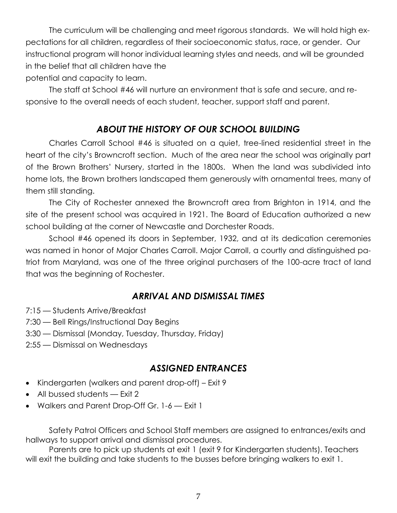The curriculum will be challenging and meet rigorous standards. We will hold high expectations for all children, regardless of their socioeconomic status, race, or gender. Our instructional program will honor individual learning styles and needs, and will be grounded in the belief that all children have the potential and capacity to learn.

The staff at School #46 will nurture an environment that is safe and secure, and responsive to the overall needs of each student, teacher, support staff and parent.

#### *ABOUT THE HISTORY OF OUR SCHOOL BUILDING*

Charles Carroll School #46 is situated on a quiet, tree-lined residential street in the heart of the city's Browncroft section. Much of the area near the school was originally part of the Brown Brothers' Nursery, started in the 1800s. When the land was subdivided into home lots, the Brown brothers landscaped them generously with ornamental trees, many of them still standing.

The City of Rochester annexed the Browncroft area from Brighton in 1914, and the site of the present school was acquired in 1921. The Board of Education authorized a new school building at the corner of Newcastle and Dorchester Roads.

School #46 opened its doors in September, 1932, and at its dedication ceremonies was named in honor of Major Charles Carroll. Major Carroll, a courtly and distinguished patriot from Maryland, was one of the three original purchasers of the 100-acre tract of land that was the beginning of Rochester.

#### *ARRIVAL AND DISMISSAL TIMES*

- 7:15 Students Arrive/Breakfast
- 7:30 Bell Rings/Instructional Day Begins
- 3:30 Dismissal (Monday, Tuesday, Thursday, Friday)
- 2:55 Dismissal on Wednesdays

#### *ASSIGNED ENTRANCES*

- Kindergarten (walkers and parent drop-off) Exit 9
- All bussed students Exit 2
- Walkers and Parent Drop-Off Gr. 1-6 Exit 1

Safety Patrol Officers and School Staff members are assigned to entrances/exits and hallways to support arrival and dismissal procedures.

Parents are to pick up students at exit 1 (exit 9 for Kindergarten students). Teachers will exit the building and take students to the busses before bringing walkers to exit 1.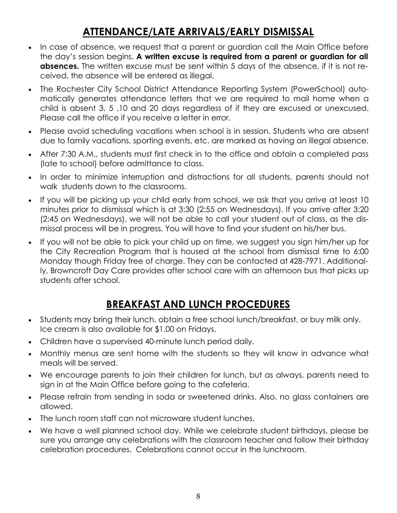## **ATTENDANCE/LATE ARRIVALS/EARLY DISMISSAL**

- In case of absence, we request that a parent or guardian call the Main Office before the day's session begins. **A written excuse is required from a parent or guardian for all absences.** The written excuse must be sent within 5 days of the absence, if it is not received, the absence will be entered as illegal.
- The Rochester City School District Attendance Reporting System (PowerSchool) automatically generates attendance letters that we are required to mail home when a child is absent 3, 5 ,10 and 20 days regardless of if they are excused or unexcused. Please call the office if you receive a letter in error.
- Please avoid scheduling vacations when school is in session. Students who are absent due to family vacations, sporting events, etc. are marked as having an illegal absence.
- After 7:30 A.M., students must first check in to the office and obtain a completed pass (late to school) before admittance to class.
- In order to minimize interruption and distractions for all students, parents should not walk students down to the classrooms.
- If you will be picking up your child early from school, we ask that you arrive at least 10 minutes prior to dismissal which is at 3:30 (2:55 on Wednesdays). If you arrive after 3:20 (2:45 on Wednesdays), we will not be able to call your student out of class, as the dismissal process will be in progress. You will have to find your student on his/her bus.
- If you will not be able to pick your child up on time, we suggest you sign him/her up for the City Recreation Program that is housed at the school from dismissal time to 6:00 Monday though Friday free of charge. They can be contacted at 428-7971. Additionally, Browncroft Day Care provides after school care with an afternoon bus that picks up students after school.

### **BREAKFAST AND LUNCH PROCEDURES**

- Students may bring their lunch, obtain a free school lunch/breakfast, or buy milk only. Ice cream is also available for \$1.00 on Fridays.
- Children have a supervised 40-minute lunch period daily.
- Monthly menus are sent home with the students so they will know in advance what meals will be served.
- We encourage parents to join their children for lunch, but as always, parents need to sign in at the Main Office before going to the cafeteria.
- Please refrain from sending in soda or sweetened drinks. Also, no glass containers are allowed.
- The lunch room staff can not microware student lunches.
- We have a well planned school day. While we celebrate student birthdays, please be sure you arrange any celebrations with the classroom teacher and follow their birthday celebration procedures. Celebrations cannot occur in the lunchroom.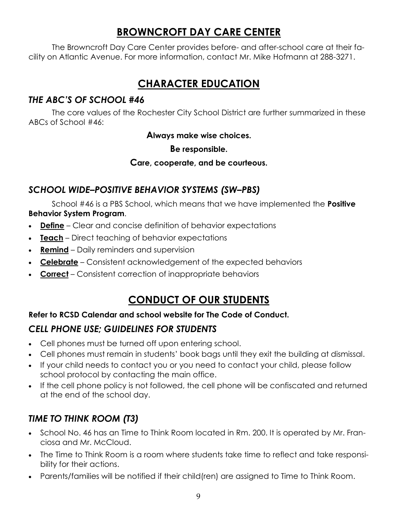### **BROWNCROFT DAY CARE CENTER**

The Browncroft Day Care Center provides before- and after-school care at their facility on Atlantic Avenue. For more information, contact Mr. Mike Hofmann at 288-3271.

## **CHARACTER EDUCATION**

### *THE ABC'S OF SCHOOL #46*

The core values of the Rochester City School District are further summarized in these ABCs of School #46:

**Always make wise choices.**

#### **Be responsible.**

#### **Care, cooperate, and be courteous.**

### *SCHOOL WIDE–POSITIVE BEHAVIOR SYSTEMS (SW–PBS)*

School #46 is a PBS School, which means that we have implemented the **Positive Behavior System Program**.

- **Define** Clear and concise definition of behavior expectations
- **Teach** Direct teaching of behavior expectations
- **Remind** Daily reminders and supervision
- **Celebrate** Consistent acknowledgement of the expected behaviors
- **Correct** Consistent correction of inappropriate behaviors

## **CONDUCT OF OUR STUDENTS**

#### **Refer to RCSD Calendar and school website for The Code of Conduct.**

### *CELL PHONE USE; GUIDELINES FOR STUDENTS*

- Cell phones must be turned off upon entering school.
- Cell phones must remain in students' book bags until they exit the building at dismissal.
- If your child needs to contact you or you need to contact your child, please follow school protocol by contacting the main office.
- If the cell phone policy is not followed, the cell phone will be confiscated and returned at the end of the school day.

### *TIME TO THINK ROOM (T3)*

- School No. 46 has an Time to Think Room located in Rm. 200. It is operated by Mr. Franciosa and Mr. McCloud.
- The Time to Think Room is a room where students take time to reflect and take responsibility for their actions.
- Parents/families will be notified if their child(ren) are assigned to Time to Think Room.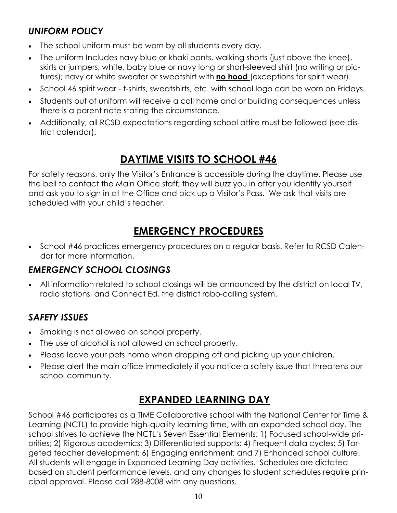### *UNIFORM POLICY*

- The school uniform must be worn by all students every day.
- The uniform Includes navy blue or khaki pants, walking shorts (just above the knee), skirts or jumpers; white, baby blue or navy long or short-sleeved shirt (no writing or pictures); navy or white sweater or sweatshirt with **no hood** (exceptions for spirit wear).
- School 46 spirit wear t-shirts, sweatshirts, etc. with school logo can be worn on Fridays.
- Students out of uniform will receive a call home and or building consequences unless there is a parent note stating the circumstance.
- Additionally, all RCSD expectations regarding school attire must be followed (see district calendar)**.**

## **DAYTIME VISITS TO SCHOOL #46**

For safety reasons, only the Visitor's Entrance is accessible during the daytime. Please use the bell to contact the Main Office staff; they will buzz you in after you identify yourself and ask you to sign in at the Office and pick up a Visitor's Pass. We ask that visits are scheduled with your child's teacher.

## **EMERGENCY PROCEDURES**

• School #46 practices emergency procedures on a regular basis. Refer to RCSD Calendar for more information.

### *EMERGENCY SCHOOL CLOSINGS*

 All information related to school closings will be announced by the district on local TV, radio stations, and Connect Ed, the district robo-calling system.

### *SAFETY ISSUES*

- Smoking is not allowed on school property.
- The use of alcohol is not allowed on school property.
- Please leave your pets home when dropping off and picking up your children.
- Please alert the main office immediately if you notice a safety issue that threatens our school community.

## **EXPANDED LEARNING DAY**

School #46 participates as a TIME Collaborative school with the National Center for Time & Learning (NCTL) to provide high-quality learning time, with an expanded school day. The school strives to achieve the NCTL's Seven Essential Elements: 1) Focused school-wide priorities; 2) Rigorous academics; 3) Differentiated supports; 4) Frequent data cycles; 5) Targeted teacher development; 6) Engaging enrichment; and 7) Enhanced school culture. All students will engage in Expanded Learning Day activities. Schedules are dictated based on student performance levels, and any changes to student schedules require principal approval. Please call 288-8008 with any questions.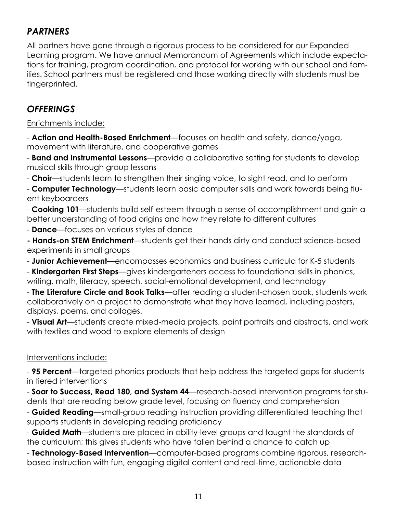### *PARTNERS*

All partners have gone through a rigorous process to be considered for our Expanded Learning program. We have annual Memorandum of Agreements which include expectations for training, program coordination, and protocol for working with our school and families. School partners must be registered and those working directly with students must be fingerprinted.

#### *OFFERINGS*

#### Enrichments include:

- **Action and Health-Based Enrichment**—focuses on health and safety, dance/yoga, movement with literature, and cooperative games

- **Band and Instrumental Lessons**—provide a collaborative setting for students to develop musical skills through group lessons

- **Choir**—students learn to strengthen their singing voice, to sight read, and to perform

- **Computer Technology**—students learn basic computer skills and work towards being fluent keyboarders

- **Cooking 101**—students build self-esteem through a sense of accomplishment and gain a better understanding of food origins and how they relate to different cultures

- **Dance**—focuses on various styles of dance

**- Hands-on STEM Enrichment**—students get their hands dirty and conduct science-based experiments in small groups

- **Junior Achievement**—encompasses economics and business curricula for K-5 students

- **Kindergarten First Steps**—gives kindergarteners access to foundational skills in phonics, writing, math, literacy, speech, social-emotional development, and technology

- **The Literature Circle and Book Talks**—after reading a student-chosen book, students work collaboratively on a project to demonstrate what they have learned, including posters, displays, poems, and collages.

- **Visual Art**—students create mixed-media projects, paint portraits and abstracts, and work with textiles and wood to explore elements of design

#### Interventions include:

- **95 Percent**—targeted phonics products that help address the targeted gaps for students in tiered interventions

- **Soar to Success, Read 180, and System 44**—research-based intervention programs for students that are reading below grade level, focusing on fluency and comprehension

- **Guided Reading**—small-group reading instruction providing differentiated teaching that supports students in developing reading proficiency

- **Guided Math**—students are placed in ability-level groups and taught the standards of the curriculum; this gives students who have fallen behind a chance to catch up

- **Technology-Based Intervention**—computer-based programs combine rigorous, researchbased instruction with fun, engaging digital content and real-time, actionable data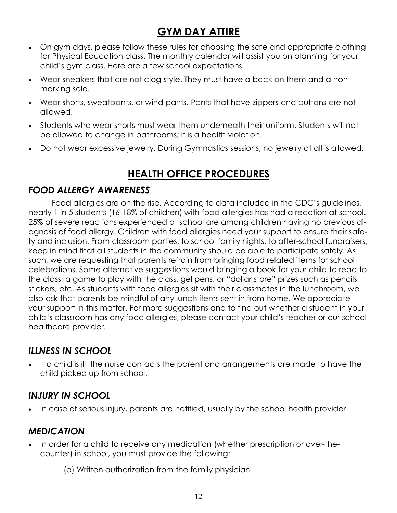## **GYM DAY ATTIRE**

- On gym days, please follow these rules for choosing the safe and appropriate clothing for Physical Education class. The monthly calendar will assist you on planning for your child's gym class. Here are a few school expectations.
- Wear sneakers that are not clog-style. They must have a back on them and a nonmarking sole.
- Wear shorts, sweatpants, or wind pants. Pants that have zippers and buttons are not allowed.
- Students who wear shorts must wear them underneath their uniform. Students will not be allowed to change in bathrooms; it is a health violation.
- Do not wear excessive jewelry. During Gymnastics sessions, no jewelry at all is allowed.

## **HEALTH OFFICE PROCEDURES**

### *FOOD ALLERGY AWARENESS*

Food allergies are on the rise. According to data included in the CDC's guidelines, nearly 1 in 5 students (16-18% of children) with food allergies has had a reaction at school. 25% of severe reactions experienced at school are among children having no previous diagnosis of food allergy. Children with food allergies need your support to ensure their safety and inclusion. From classroom parties, to school family nights, to after-school fundraisers, keep in mind that all students in the community should be able to participate safely. As such, we are requesting that parents refrain from bringing food related items for school celebrations. Some alternative suggestions would bringing a book for your child to read to the class, a game to play with the class, gel pens, or "dollar store" prizes such as pencils, stickers, etc. As students with food allergies sit with their classmates in the lunchroom, we also ask that parents be mindful of any lunch items sent in from home. We appreciate your support in this matter. For more suggestions and to find out whether a student in your child's classroom has any food allergies, please contact your child's teacher or our school healthcare provider.

### *ILLNESS IN SCHOOL*

 If a child is ill, the nurse contacts the parent and arrangements are made to have the child picked up from school.

### *INJURY IN SCHOOL*

• In case of serious injury, parents are notified, usually by the school health provider.

### *MEDICATION*

- In order for a child to receive any medication (whether prescription or over-thecounter) in school, you must provide the following:
	- (a) Written authorization from the family physician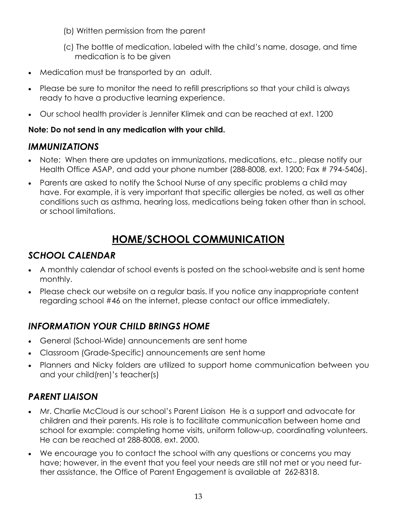- (b) Written permission from the parent
- (c) The bottle of medication, labeled with the child's name, dosage, and time medication is to be given
- Medication must be transported by an adult.
- Please be sure to monitor the need to refill prescriptions so that your child is always ready to have a productive learning experience.
- Our school health provider is Jennifer Klimek and can be reached at ext. 1200

#### **Note: Do not send in any medication with your child.**

#### *IMMUNIZATIONS*

- Note: When there are updates on immunizations, medications, etc., please notify our Health Office ASAP, and add your phone number (288-8008, ext. 1200; Fax # 794-5406).
- Parents are asked to notify the School Nurse of any specific problems a child may have. For example, it is very important that specific allergies be noted, as well as other conditions such as asthma, hearing loss, medications being taken other than in school, or school limitations.

## **HOME/SCHOOL COMMUNICATION**

### *SCHOOL CALENDAR*

- A monthly calendar of school events is posted on the school-website and is sent home monthly.
- Please check our website on a regular basis. If you notice any inappropriate content regarding school #46 on the internet, please contact our office immediately.

### *INFORMATION YOUR CHILD BRINGS HOME*

- General (School-Wide) announcements are sent home
- Classroom (Grade-Specific) announcements are sent home
- Planners and Nicky folders are utilized to support home communication between you and your child(ren)'s teacher(s)

### *PARENT LIAISON*

- Mr. Charlie McCloud is our school's Parent Liaison He is a support and advocate for children and their parents. His role is to facilitate communication between home and school for example: completing home visits, uniform follow-up, coordinating volunteers. He can be reached at 288-8008, ext. 2000.
- We encourage you to contact the school with any questions or concerns you may have; however, in the event that you feel your needs are still not met or you need further assistance, the Office of Parent Engagement is available at 262-8318.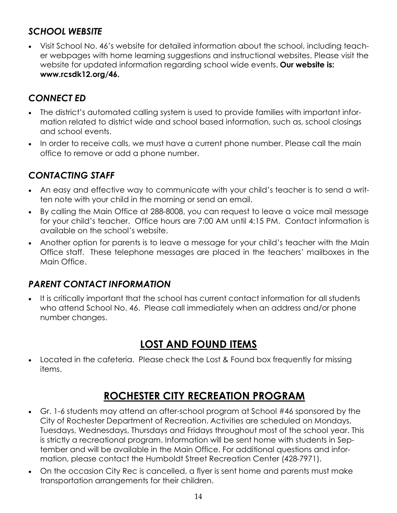### *SCHOOL WEBSITE*

 Visit School No. 46's website for detailed information about the school, including teacher webpages with home learning suggestions and instructional websites. Please visit the website for updated information regarding school wide events. **Our website is: www.rcsdk12.org/46.** 

### *CONNECT ED*

- The district's automated calling system is used to provide families with important information related to district wide and school based information, such as, school closings and school events.
- In order to receive calls, we must have a current phone number. Please call the main office to remove or add a phone number.

### *CONTACTING STAFF*

- An easy and effective way to communicate with your child's teacher is to send a written note with your child in the morning or send an email.
- By calling the Main Office at 288-8008, you can request to leave a voice mail message for your child's teacher. Office hours are 7:00 AM until 4:15 PM. Contact information is available on the school's website.
- Another option for parents is to leave a message for your child's teacher with the Main Office staff. These telephone messages are placed in the teachers' mailboxes in the Main Office.

#### *PARENT CONTACT INFORMATION*

 It is critically important that the school has current contact information for all students who attend School No. 46. Please call immediately when an address and/or phone number changes.

## **LOST AND FOUND ITEMS**

 Located in the cafeteria. Please check the Lost & Found box frequently for missing items.

## **ROCHESTER CITY RECREATION PROGRAM**

- Gr. 1-6 students may attend an after-school program at School #46 sponsored by the City of Rochester Department of Recreation. Activities are scheduled on Mondays, Tuesdays, Wednesdays, Thursdays and Fridays throughout most of the school year. This is strictly a recreational program. Information will be sent home with students in September and will be available in the Main Office. For additional questions and information, please contact the Humboldt Street Recreation Center (428-7971).
- On the occasion City Rec is cancelled, a flyer is sent home and parents must make transportation arrangements for their children.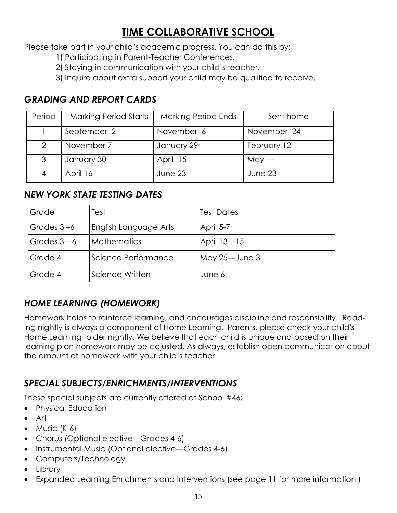## **TIME COLLABORATIVE SCHOOL**

Please take part in your child's academic progress. You can do this by:

- 1) Participating in Parent-Teacher Conferences.
- 2) Staying in communication with your child's teacher.
- 3) Inquire about extra support your child may be qualified to receive.

### *GRADING AND REPORT CARDS*

| Period | <b>Marking Period Starts</b> | <b>Marking Period Ends</b> | Sent home   |
|--------|------------------------------|----------------------------|-------------|
|        | September 2                  | November 6                 | November 24 |
| 2      | November 7                   | January 29                 | February 12 |
| 3      | January 30                   | April 15                   | $May -$     |
| 4      | April 16                     | June 23                    | June 23     |

#### *NEW YORK STATE TESTING DATES*

| Grade      | Test                  | <b>Test Dates</b> |
|------------|-----------------------|-------------------|
| Grades 3-6 | English Language Arts | April 5-7         |
| Grades 3-6 | <b>Mathematics</b>    | April 13-15       |
| Grade 4    | Science Performance   | May 25-June 3     |
| Grade 4    | Science Written       | June 6            |

### *HOME LEARNING (HOMEWORK)*

Homework helps to reinforce learning, and encourages discipline and responsibility. Reading nightly is always a component of Home Learning. Parents, please check your child's Home Learning folder nightly. We believe that each child is unique and based on their learning plan homework may be adjusted. As always, establish open communication about the amount of homework with your child's teacher.

#### *SPECIAL SUBJECTS/ENRICHMENTS/INTERVENTIONS*

These special subjects are currently offered at School #46:

- Physical Education
- Art
- $\bullet$  Music (K-6)
- Chorus (Optional elective—Grades 4-6)
- Instrumental Music (Optional elective—Grades 4-6)
- Computers/Technology
- Library
- Expanded Learning Enrichments and Interventions (see page 11 for more information )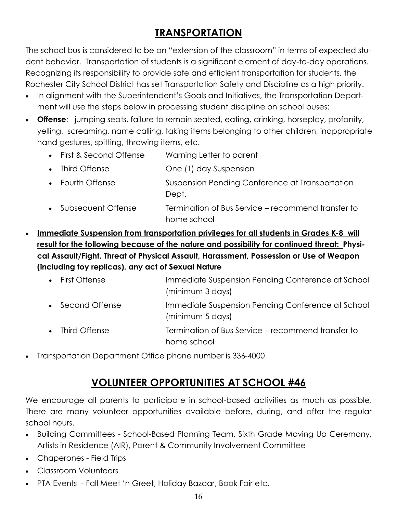## **TRANSPORTATION**

The school bus is considered to be an "extension of the classroom" in terms of expected student behavior. Transportation of students is a significant element of day-to-day operations. Recognizing its responsibility to provide safe and efficient transportation for students, the Rochester City School District has set Transportation Safety and Discipline as a high priority.

- In alignment with the Superintendent's Goals and Initiatives, the Transportation Department will use the steps below in processing student discipline on school buses:
- **Offense**: jumping seats, failure to remain seated, eating, drinking, horseplay, profanity, yelling, screaming, name calling, taking items belonging to other children, inappropriate hand gestures, spitting, throwing items, etc.
	- First & Second Offense Warning Letter to parent
	- Third Offense **One (1) day Suspension**
	- Fourth Offense Suspension Pending Conference at Transportation Dept.
	- Subsequent Offense Termination of Bus Service recommend transfer to home school
- **Immediate Suspension from transportation privileges for all students in Grades K-8 will result for the following because of the nature and possibility for continued threat: Physical Assault/Fight, Threat of Physical Assault, Harassment, Possession or Use of Weapon (including toy replicas), any act of Sexual Nature**
	- First Offense **Immediate Suspension Pending Conference at School** (minimum 3 days) • Second Offense Immediate Suspension Pending Conference at School (minimum 5 days) • Third Offense Termination of Bus Service – recommend transfer to home school
- Transportation Department Office phone number is 336-4000

## **VOLUNTEER OPPORTUNITIES AT SCHOOL #46**

We encourage all parents to participate in school-based activities as much as possible. There are many volunteer opportunities available before, during, and after the regular school hours.

- Building Committees School-Based Planning Team, Sixth Grade Moving Up Ceremony, Artists in Residence (AIR), Parent & Community Involvement Committee
- Chaperones Field Trips
- Classroom Volunteers
- PTA Events Fall Meet 'n Greet, Holiday Bazaar, Book Fair etc.